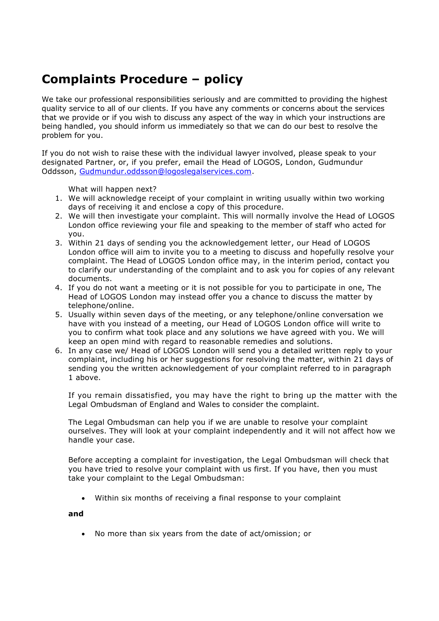## **Complaints Procedure – policy**

We take our professional responsibilities seriously and are committed to providing the highest quality service to all of our clients. If you have any comments or concerns about the services that we provide or if you wish to discuss any aspect of the way in which your instructions are being handled, you should inform us immediately so that we can do our best to resolve the problem for you.

If you do not wish to raise these with the individual lawyer involved, please speak to your designated Partner, or, if you prefer, email the Head of LOGOS, London, Gudmundur Oddsson, [Gudmundur.oddsson@logoslegalservices.com.](mailto:Gudmundur.oddsson@logoslegalservices.com)

What will happen next?

- 1. We will acknowledge receipt of your complaint in writing usually within two working days of receiving it and enclose a copy of this procedure.
- 2. We will then investigate your complaint. This will normally involve the Head of LOGOS London office reviewing your file and speaking to the member of staff who acted for you.
- 3. Within 21 days of sending you the acknowledgement letter, our Head of LOGOS London office will aim to invite you to a meeting to discuss and hopefully resolve your complaint. The Head of LOGOS London office may, in the interim period, contact you to clarify our understanding of the complaint and to ask you for copies of any relevant documents.
- 4. If you do not want a meeting or it is not possible for you to participate in one, The Head of LOGOS London may instead offer you a chance to discuss the matter by telephone/online.
- 5. Usually within seven days of the meeting, or any telephone/online conversation we have with you instead of a meeting, our Head of LOGOS London office will write to you to confirm what took place and any solutions we have agreed with you. We will keep an open mind with regard to reasonable remedies and solutions.
- 6. In any case we/ Head of LOGOS London will send you a detailed written reply to your complaint, including his or her suggestions for resolving the matter, within 21 days of sending you the written acknowledgement of your complaint referred to in paragraph 1 above.

If you remain dissatisfied, you may have the right to bring up the matter with the Legal Ombudsman of England and Wales to consider the complaint.

The Legal Ombudsman can help you if we are unable to resolve your complaint ourselves. They will look at your complaint independently and it will not affect how we handle your case.

Before accepting a complaint for investigation, the Legal Ombudsman will check that you have tried to resolve your complaint with us first. If you have, then you must take your complaint to the Legal Ombudsman:

Within six months of receiving a final response to your complaint

## **and**

• No more than six years from the date of act/omission; or